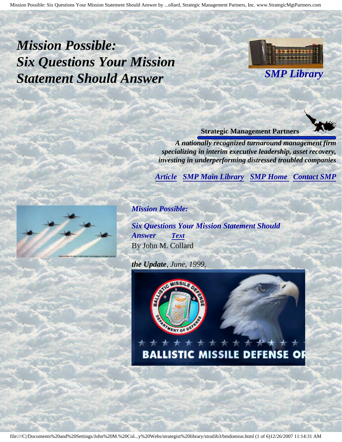<span id="page-0-2"></span>Mission Possible: Six Questions Your Mission Statement Should Answer by ...ollard, Strategic Management Partners, Inc. www.StrategicMgtPartners.com

<span id="page-0-1"></span>*Mission Possible: Six Questions Your Mission Statement Should Answer*



**Strategic Management Partners**

*A nationally recognized turnaround management firm specializing in interim executive leadership, asset recovery, investing in underperforming distressed troubled companies*

*[Article](#page-0-0) [SMP Main Library](http://members.aol.com/stratlib3/libindx.html#TOP) [SMP Home](http://members.aol.com/strategist/home.html#TOP) [Contact SMP](#page-5-0)*

<span id="page-0-0"></span>*Mission Possible:*

*Six Questions Your Mission Statement Should Answer [Text](#page-1-0)* By John M. Collard

*the Update, June, 1999.*





**BALLISTIC MISSILE DEFENSE** ОF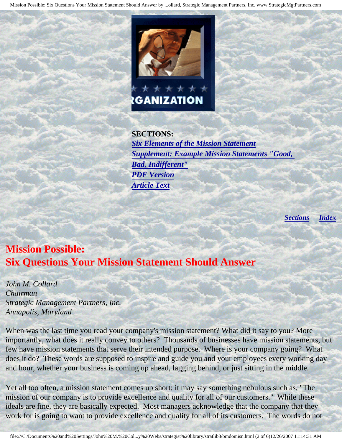Mission Possible: Six Questions Your Mission Statement Should Answer by ...ollard, Strategic Management Partners, Inc. www.StrategicMgtPartners.com



**SECTIONS:** *[Six Elements of the Mission Statement](#page-2-0) [Supplement: Example Mission Statements "Good,](#page-3-0) [Bad, Indifferent"](#page-3-0) [PDF Version](http://members.aol.com/lmcollard/bmdo-m.pdf) [Article Text](#page-1-0)*

*[Sections](#page-0-0) [Index](#page-0-1)*

# <span id="page-1-0"></span>**Mission Possible: Six Questions Your Mission Statement Should Answer**

*John M. Collard Chairman Strategic Management Partners, Inc. Annapolis, Maryland*

When was the last time you read your company's mission statement? What did it say to you? More importantly, what does it really convey to others? Thousands of businesses have mission statements, but few have mission statements that serve their intended purpose. Where is your company going? What does it do? These words are supposed to inspire and guide you and your employees every working day and hour, whether your business is coming up ahead, lagging behind, or just sitting in the middle.

Yet all too often, a mission statement comes up short; it may say something nebulous such as, "The mission of our company is to provide excellence and quality for all of our customers." While these ideals are fine, they are basically expected. Most managers acknowledge that the company that they work for is going to want to provide excellence and quality for all of its customers. The words do not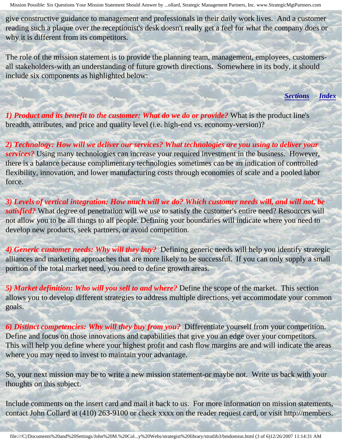give constructive guidance to management and professionals in their daily work lives. And a customer reading such a plaque over the receptionist's desk doesn't really get a feel for what the company does or why it is different from its competitors.

<span id="page-2-0"></span>The role of the mission statement is to provide the planning team, management, employees, customersall stakeholders-with an understanding of future growth directions. Somewhere in its body, it should include six components as highlighted below:

*[Sections](#page-0-0) [Index](#page-0-1)*

*1) Product and its benefit to the customer: What do we do or provide?* What is the product line's breadth, attributes, and price and quality level (i.e. high-end vs. economy-version)?

*2) Technology: How will we deliver our services? What technologies are you using to deliver your services?* Using many technologies can increase your required investment in the business. However, there is a balance because complimentary technologies sometimes can be an indication of controlled flexibility, innovation, and lower manufacturing costs through economies of scale and a pooled labor force.

*3) Levels of vertical integration: How much will we do? Which customer needs will, and will not, be satisfied?* What degree of penetration will we use to satisfy the customer's entire need? Resources will not allow you to be all things to all people. Defining your boundaries will indicate where you need to develop new products, seek partners, or avoid competition.

*4) Generic customer needs: Why will they buy?* Defining generic needs will help you identify strategic alliances and marketing approaches that are more likely to be successful. If you can only supply a small portion of the total market need, you need to define growth areas.

*5) Market definition: Who will you sell to and where?* Define the scope of the market. This section allows you to develop different strategies to address multiple directions, yet accommodate your common goals.

*6) Distinct competencies: Why will they buy from you?* Differentiate yourself from your competition. Define and focus on those innovations and capabilities that give you an edge over your competitors. This will help you define where your highest profit and cash flow margins are and will indicate the areas where you may need to invest to maintain your advantage.

So, your next mission may be to write a new mission statement-or maybe not. Write us back with your thoughts on this subject.

Include comments on the insert card and mail it back to us. For more information on mission statements, contact John Collard at (410) 263-9100 or check xxxx on the reader request card, or visit http://members.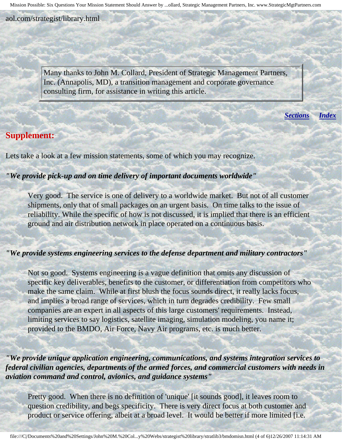aol.com/strategist/library.html

Many thanks to John M. Collard, President of Strategic Management Partners, Inc. (Annapolis, MD), a transition management and corporate governance consulting firm, for assistance in writing this article.

*[Sections](#page-0-0) [Index](#page-0-1)*

## <span id="page-3-0"></span>**Supplement:**

Lets take a look at a few mission statements, some of which you may recognize.

### *"We provide pick-up and on time delivery of important documents worldwide"*

Very good. The service is one of delivery to a worldwide market. But not of all customer shipments, only that of small packages on an urgent basis. On time talks to the issue of reliability. While the specific of how is not discussed, it is implied that there is an efficient ground and air distribution network in place operated on a continuous basis.

#### *"We provide systems engineering services to the defense department and military contractors"*

Not so good. Systems engineering is a vague definition that omits any discussion of specific key deliverables, benefits to the customer, or differentiation from competitors who make the same claim. While at first blush the focus sounds direct, it really lacks focus, and implies a broad range of services, which in turn degrades credibility. Few small companies are an expert in all aspects of this large customers' requirements. Instead, limiting services to say logistics, satellite imaging, simulation modeling, you name it; provided to the BMDO, Air Force, Navy Air programs, etc. is much better.

*"We provide unique application engineering, communications, and systems integration services to federal civilian agencies, departments of the armed forces, and commercial customers with needs in aviation command and control, avionics, and guidance systems"*

Pretty good. When there is no definition of 'unique' [it sounds good], it leaves room to question credibility, and begs specificity. There is very direct focus at both customer and product or service offering, albeit at a broad level. It would be better if more limited [i.e.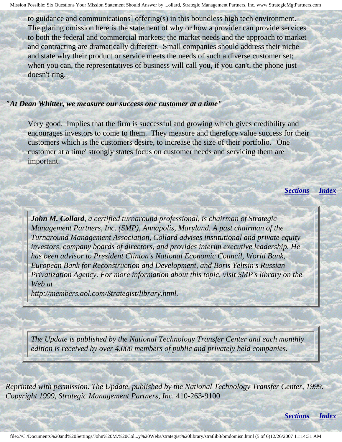to guidance and communications] offering(s) in this boundless high tech environment. The glaring omission here is the statement of why or how a provider can provide services to both the federal and commercial markets; the market needs and the approach to market and contracting are dramatically different. Small companies should address their niche and state why their product or service meets the needs of such a diverse customer set; when you can, the representatives of business will call you, if you can't, the phone just doesn't ring.

#### *"At Dean Whitter, we measure our success one customer at a time"*

Very good. Implies that the firm is successful and growing which gives credibility and encourages investors to come to them. They measure and therefore value success for their customers which is the customers desire, to increase the size of their portfolio. 'One customer at a time' strongly states focus on customer needs and servicing them are important.

*[Sections](#page-0-0) [Index](#page-0-1)*

*John M. Collard, a certified turnaround professional, is chairman of Strategic Management Partners, Inc. (SMP), Annapolis, Maryland. A past chairman of the Turnaround Management Association, Collard advises institutional and private equity investors, company boards of directors, and provides interim executive leadership. He has been advisor to President Clinton's National Economic Council, World Bank, European Bank for Reconstruction and Development, and Boris Yeltsin's Russian Privatization Agency. For more information about this topic, visit SMP's library on the Web at*

*http://members.aol.com/Strategist/library.html.*

j

*The Update is published by the National Technology Transfer Center and each monthly edition is received by over 4,000 members of public and privately held companies.* 

*Reprinted with permission. The Update, published by the National Technology Transfer Center, 1999. Copyright 1999, Strategic Management Partners, Inc.* 410-263-9100

*[Sections](#page-0-0) [Index](#page-0-1)*